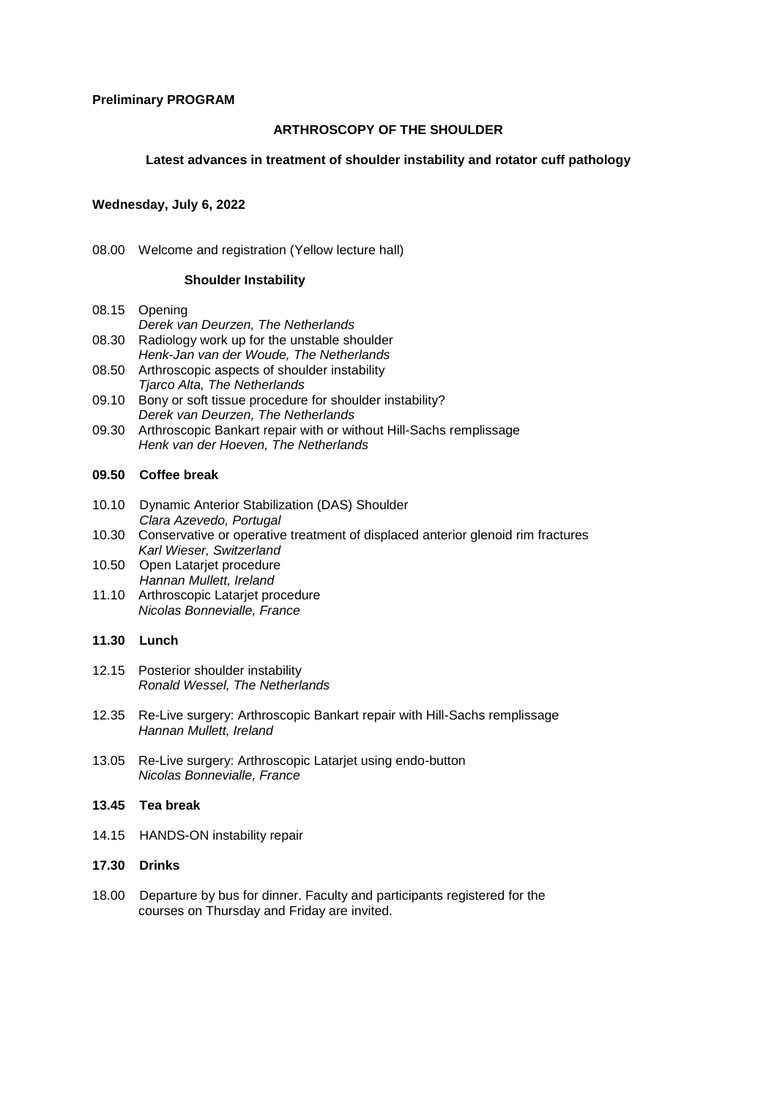#### **Preliminary PROGRAM**

# **ARTHROSCOPY OF THE SHOULDER**

### **Latest advances in treatment of shoulder instability and rotator cuff pathology**

### **Wednesday, July 6, 2022**

08.00 Welcome and registration (Yellow lecture hall)

## **Shoulder Instability**

- 08.15 Opening  *Derek van Deurzen, The Netherlands* 08.30 Radiology work up for the unstable shoulder
- *Henk-Jan van der Woude, The Netherlands*
- 08.50 Arthroscopic aspects of shoulder instability *Tjarco Alta, The Netherlands*
- 09.10 Bony or soft tissue procedure for shoulder instability? *Derek van Deurzen, The Netherlands*
- 09.30 Arthroscopic Bankart repair with or without Hill-Sachs remplissage *Henk van der Hoeven, The Netherlands*

### **09.50 Coffee break**

- 10.10 Dynamic Anterior Stabilization (DAS) Shoulder  *Clara Azevedo, Portugal*
- 10.30 Conservative or operative treatment of displaced anterior glenoid rim fractures *Karl Wieser, Switzerland*
- 10.50 Open Latarjet procedure  *Hannan Mullett, Ireland*
- 11.10 Arthroscopic Latarjet procedure *Nicolas Bonnevialle, France*

# **11.30 Lunch**

- 12.15 Posterior shoulder instability *Ronald Wessel, The Netherlands*
- 12.35 Re-Live surgery: Arthroscopic Bankart repair with Hill-Sachs remplissage *Hannan Mullett, Ireland*
- 13.05 Re-Live surgery: Arthroscopic Latarjet using endo-button *Nicolas Bonnevialle, France*

# **13.45 Tea break**

- 14.15 HANDS-ON instability repair
- **17.30 Drinks**
- 18.00 Departure by bus for dinner. Faculty and participants registered for the courses on Thursday and Friday are invited.